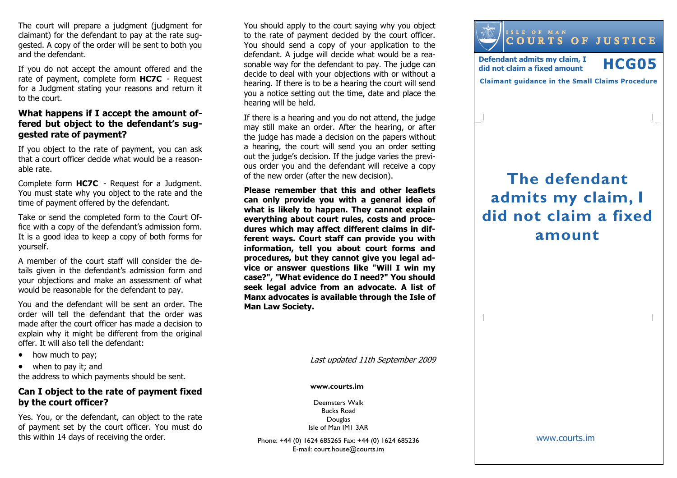The court will prepare a judgment (judgment for claimant) for the defendant to pay at the rate suggested. A copy of the order will be sent to both you and the defendant.

If you do not accept the amount offered and the rate of payment, complete form HC7C - Request for a Judgment stating your reasons and return it to the court.

## What happens if I accept the amount offered but object to the defendant's suggested rate of payment?

If you object to the rate of payment, you can ask that a court officer decide what would be a reasonable rate.

Complete form HC7C - Request for a Judgment. You must state why you object to the rate and the time of payment offered by the defendant.

Take or send the completed form to the Court Office with a copy of the defendant's admission form. It is a good idea to keep a copy of both forms for yourself.

A member of the court staff will consider the details given in the defendant's admission form and your objections and make an assessment of what would be reasonable for the defendant to pay.

You and the defendant will be sent an order. The order will tell the defendant that the order was made after the court officer has made a decision to explain why it might be different from the originaloffer. It will also tell the defendant:

- how much to pay;
- when to pay it; and

the address to which payments should be sent.

## Can I object to the rate of payment fixed by the court officer?

Yes. You, or the defendant, can object to the rate of payment set by the court officer. You must do this within 14 days of receiving the order.

You should apply to the court saying why you object to the rate of payment decided by the court officer. You should send a copy of your application to the defendant. A judge will decide what would be a reasonable way for the defendant to pay. The judge can decide to deal with your objections with or without a hearing. If there is to be a hearing the court will send you a notice setting out the time, date and place the hearing will be held.

If there is a hearing and you do not attend, the judge may still make an order. After the hearing, or after the judge has made a decision on the papers without a hearing, the court will send you an order setting out the judge's decision. If the judge varies the previous order you and the defendant will receive a copyof the new order (after the new decision).

Please remember that this and other leaflets can only provide you with a general idea of what is likely to happen. They cannot explain everything about court rules, costs and procedures which may affect different claims in different ways. Court staff can provide you with information, tell you about court forms and procedures, but they cannot give you legal advice or answer questions like "Will I win my case?", "What evidence do I need?" You should seek legal advice from an advocate. A list of Manx advocates is available through the Isle of Man Law Society.

Last updated 11th September 2009

#### www.courts.im

Deemsters Walk Bucks Road Douglas Isle of Man IM1 3AR

Phone: +44 (0) 1624 685265 Fax: +44 (0) 1624 685236E-mail: court.house@courts.im



# The defendant admits my claim, I did not claim a fixed amount

www.courts.im

 $\overline{\phantom{a}}$